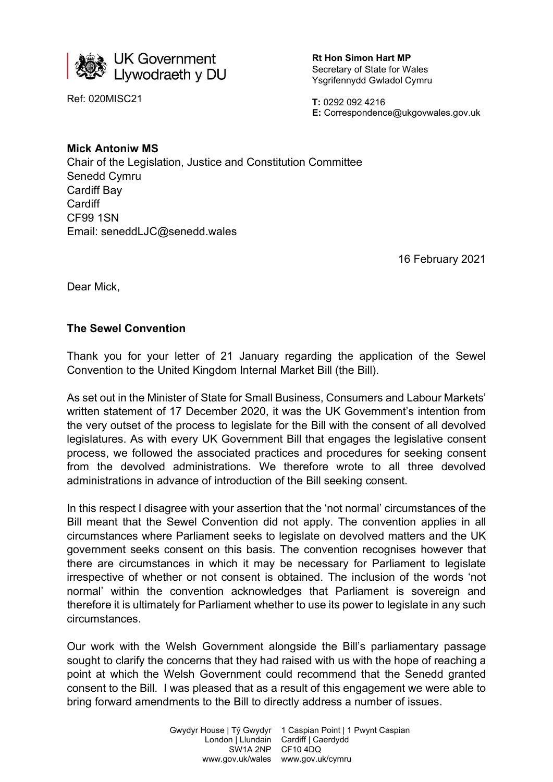

Ref: 020MISC21

Rt Hon Simon Hart MP Secretary of State for Wales Ysgrifennydd Gwladol Cymru

T: 0292 092 4216 E: Correspondence@ukgovwales.gov.uk

## Mick Antoniw MS

Chair of the Legislation, Justice and Constitution Committee Senedd Cymru Cardiff Bay **Cardiff** CF99 1SN Email: seneddLJC@senedd.wales

16 February 2021

Dear Mick,

## The Sewel Convention

Thank you for your letter of 21 January regarding the application of the Sewel Convention to the United Kingdom Internal Market Bill (the Bill).

As set out in the Minister of State for Small Business, Consumers and Labour Markets' written statement of 17 December 2020, it was the UK Government's intention from the very outset of the process to legislate for the Bill with the consent of all devolved legislatures. As with every UK Government Bill that engages the legislative consent process, we followed the associated practices and procedures for seeking consent from the devolved administrations. We therefore wrote to all three devolved administrations in advance of introduction of the Bill seeking consent.

In this respect I disagree with your assertion that the 'not normal' circumstances of the Bill meant that the Sewel Convention did not apply. The convention applies in all circumstances where Parliament seeks to legislate on devolved matters and the UK government seeks consent on this basis. The convention recognises however that there are circumstances in which it may be necessary for Parliament to legislate irrespective of whether or not consent is obtained. The inclusion of the words 'not normal' within the convention acknowledges that Parliament is sovereign and therefore it is ultimately for Parliament whether to use its power to legislate in any such circumstances.

Our work with the Welsh Government alongside the Bill's parliamentary passage sought to clarify the concerns that they had raised with us with the hope of reaching a point at which the Welsh Government could recommend that the Senedd granted consent to the Bill. I was pleased that as a result of this engagement we were able to bring forward amendments to the Bill to directly address a number of issues.

> Gwydyr House | Tŷ Gwydyr London | Llundain SW1A 2NP CF10 4DQ 1 Caspian Point | 1 Pwynt Caspian Cardiff | Caerdydd www.gov.uk/wales www.gov.uk/cymru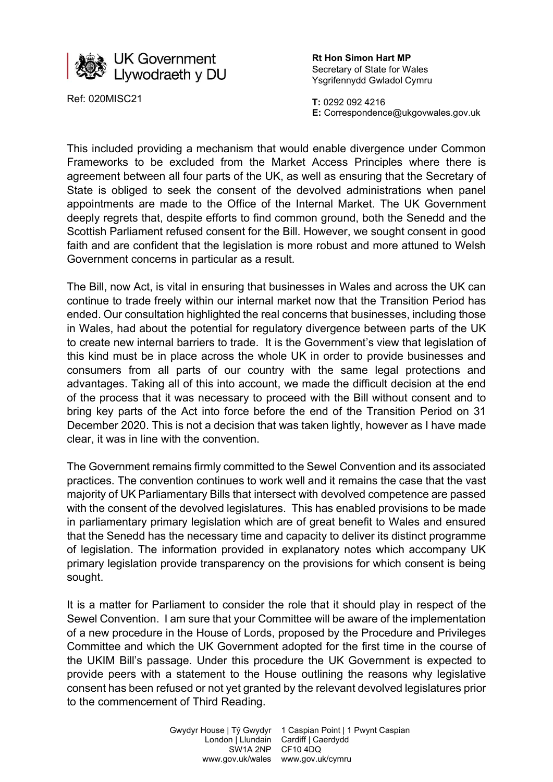

Ref: 020MISC21

Rt Hon Simon Hart MP Secretary of State for Wales Ysgrifennydd Gwladol Cymru

T: 0292 092 4216 E: Correspondence@ukgovwales.gov.uk

This included providing a mechanism that would enable divergence under Common Frameworks to be excluded from the Market Access Principles where there is agreement between all four parts of the UK, as well as ensuring that the Secretary of State is obliged to seek the consent of the devolved administrations when panel appointments are made to the Office of the Internal Market. The UK Government deeply regrets that, despite efforts to find common ground, both the Senedd and the Scottish Parliament refused consent for the Bill. However, we sought consent in good faith and are confident that the legislation is more robust and more attuned to Welsh Government concerns in particular as a result.

The Bill, now Act, is vital in ensuring that businesses in Wales and across the UK can continue to trade freely within our internal market now that the Transition Period has ended. Our consultation highlighted the real concerns that businesses, including those in Wales, had about the potential for regulatory divergence between parts of the UK to create new internal barriers to trade. It is the Government's view that legislation of this kind must be in place across the whole UK in order to provide businesses and consumers from all parts of our country with the same legal protections and advantages. Taking all of this into account, we made the difficult decision at the end of the process that it was necessary to proceed with the Bill without consent and to bring key parts of the Act into force before the end of the Transition Period on 31 December 2020. This is not a decision that was taken lightly, however as I have made clear, it was in line with the convention.

The Government remains firmly committed to the Sewel Convention and its associated practices. The convention continues to work well and it remains the case that the vast majority of UK Parliamentary Bills that intersect with devolved competence are passed with the consent of the devolved legislatures. This has enabled provisions to be made in parliamentary primary legislation which are of great benefit to Wales and ensured that the Senedd has the necessary time and capacity to deliver its distinct programme of legislation. The information provided in explanatory notes which accompany UK primary legislation provide transparency on the provisions for which consent is being sought.

It is a matter for Parliament to consider the role that it should play in respect of the Sewel Convention. I am sure that your Committee will be aware of the implementation of a new procedure in the House of Lords, proposed by the Procedure and Privileges Committee and which the UK Government adopted for the first time in the course of the UKIM Bill's passage. Under this procedure the UK Government is expected to provide peers with a statement to the House outlining the reasons why legislative consent has been refused or not yet granted by the relevant devolved legislatures prior to the commencement of Third Reading.

> Gwydyr House | Tŷ Gwydyr 1 Caspian Point | 1 Pwynt Caspian London | Llundain SW1A 2NP CF10 4DQ Cardiff | Caerdydd www.gov.uk/wales www.gov.uk/cymru